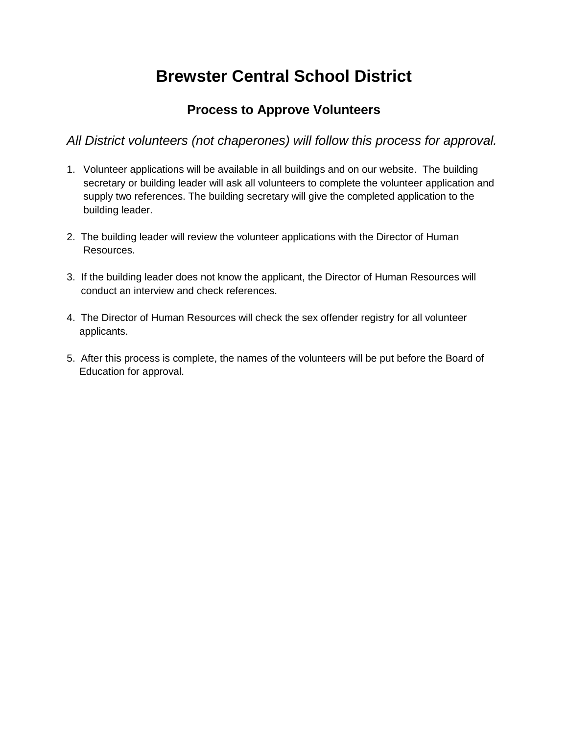## **Brewster Central School District**

## **Process to Approve Volunteers**

 *All District volunteers (not chaperones) will follow this process for approval.* 

- 1. Volunteer applications will be available in all buildings and on our website. The building secretary or building leader will ask all volunteers to complete the volunteer application and supply two references. The building secretary will give the completed application to the building leader.
- 2. The building leader will review the volunteer applications with the Director of Human Resources.
- 3. If the building leader does not know the applicant, the Director of Human Resources will conduct an interview and check references.
- 4. The Director of Human Resources will check the sex offender registry for all volunteer applicants.
- 5. After this process is complete, the names of the volunteers will be put before the Board of Education for approval.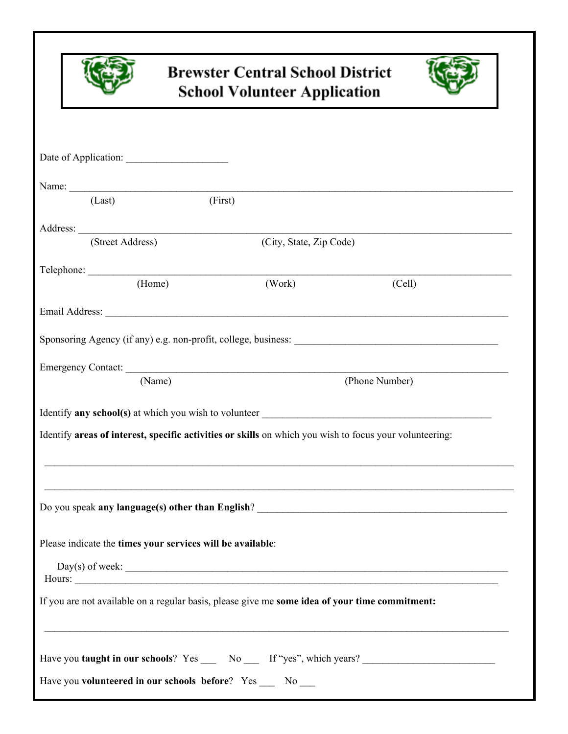

## **Brewster Central School District School Volunteer Application**



| Name:                                                                                          |         |                                      |                                                                                                         |  |
|------------------------------------------------------------------------------------------------|---------|--------------------------------------|---------------------------------------------------------------------------------------------------------|--|
| (Last)                                                                                         | (First) |                                      |                                                                                                         |  |
|                                                                                                |         |                                      |                                                                                                         |  |
| (Street Address)                                                                               |         | (City, State, Zip Code)              |                                                                                                         |  |
|                                                                                                |         |                                      |                                                                                                         |  |
| (Home)                                                                                         |         | (Work)                               | (Cell)                                                                                                  |  |
|                                                                                                |         |                                      |                                                                                                         |  |
|                                                                                                |         |                                      |                                                                                                         |  |
|                                                                                                |         |                                      |                                                                                                         |  |
| (Name)                                                                                         |         | Emergency Contact:<br>(Phone Number) |                                                                                                         |  |
|                                                                                                |         |                                      |                                                                                                         |  |
|                                                                                                |         |                                      |                                                                                                         |  |
|                                                                                                |         |                                      | Identify areas of interest, specific activities or skills on which you wish to focus your volunteering: |  |
|                                                                                                |         |                                      |                                                                                                         |  |
|                                                                                                |         |                                      |                                                                                                         |  |
|                                                                                                |         |                                      |                                                                                                         |  |
|                                                                                                |         |                                      |                                                                                                         |  |
| Please indicate the times your services will be available:                                     |         |                                      |                                                                                                         |  |
|                                                                                                |         |                                      | $Day(s)$ of week:                                                                                       |  |
| If you are not available on a regular basis, please give me some idea of your time commitment: |         |                                      |                                                                                                         |  |
|                                                                                                |         |                                      |                                                                                                         |  |
|                                                                                                |         |                                      |                                                                                                         |  |
|                                                                                                |         |                                      | Have you taught in our schools? Yes _____ No _____ If "yes", which years? __________________________    |  |
| Have you volunteered in our schools before? Yes __ No __                                       |         |                                      |                                                                                                         |  |